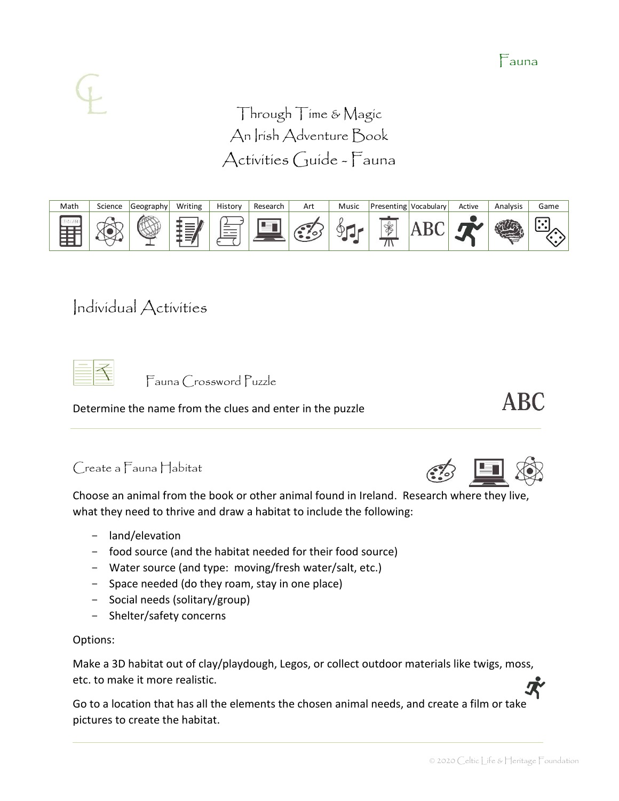Through Time & Magic An Irish Adventure Book Activities Guide - Fauna



# Individual Activities

Fauna Crossword Puzzle

Determine the name from the clues and enter in the puzzle

### Create a Fauna Habitat

Choose an animal from the book or other animal found in Ireland. Research where they live, what they need to thrive and draw a habitat to include the following:

- land/elevation
- food source (and the habitat needed for their food source)
- Water source (and type: moving/fresh water/salt, etc.)
- Space needed (do they roam, stay in one place)
- Social needs (solitary/group)
- Shelter/safety concerns

#### Options:

Make a 3D habitat out of clay/playdough, Legos, or collect outdoor materials like twigs, moss, etc. to make it more realistic.

Go to a location that has all the elements the chosen animal needs, and create a film or take pictures to create the habitat.





**ABC** 

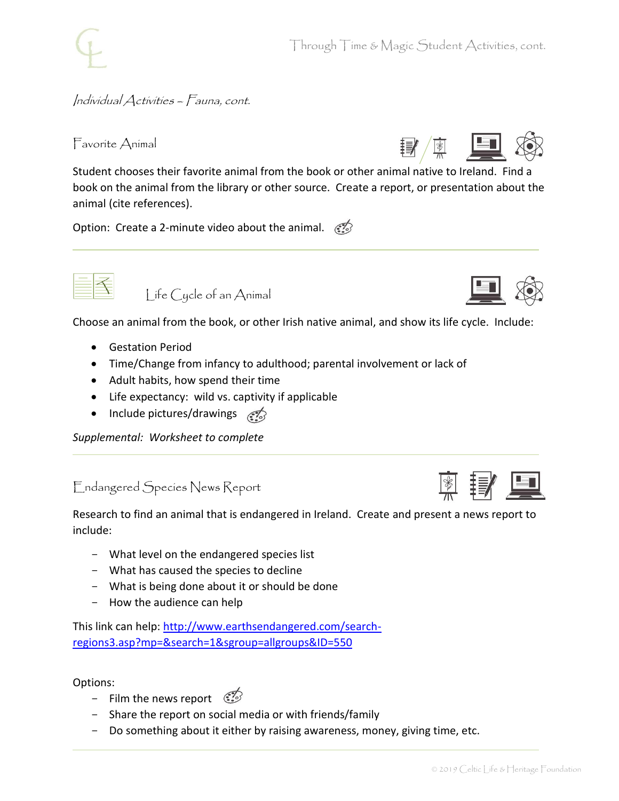Through Time & Magic Student Activities, cont.

#### Individual Activities – Fauna, cont.

Favorite Animal

Student chooses their favorite animal from the book or other animal native to Ireland. Find a book on the animal from the library or other source. Create a report, or presentation about the animal (cite references).

Option: Create a 2-minute video about the animal.  $\mathcal{F}$ 



Life Cycle of an Animal

Choose an animal from the book, or other Irish native animal, and show its life cycle. Include:

- Gestation Period
- Time/Change from infancy to adulthood; parental involvement or lack of
- Adult habits, how spend their time
- Life expectancy: wild vs. captivity if applicable
- Include pictures/drawings

*Supplemental: Worksheet to complete*

### Endangered Species News Report

Research to find an animal that is endangered in Ireland. Create and present a news report to include:

- What level on the endangered species list
- What has caused the species to decline
- What is being done about it or should be done
- How the audience can help

This link can help: [http://www.earthsendangered.com/search](http://www.earthsendangered.com/search-regions3.asp?mp=&search=1&sgroup=allgroups&ID=550)[regions3.asp?mp=&search=1&sgroup=allgroups&ID=550](http://www.earthsendangered.com/search-regions3.asp?mp=&search=1&sgroup=allgroups&ID=550)

Options:

- Film the news report  $\mathbb{C}$
- Share the report on social media or with friends/family
- Do something about it either by raising awareness, money, giving time, etc.



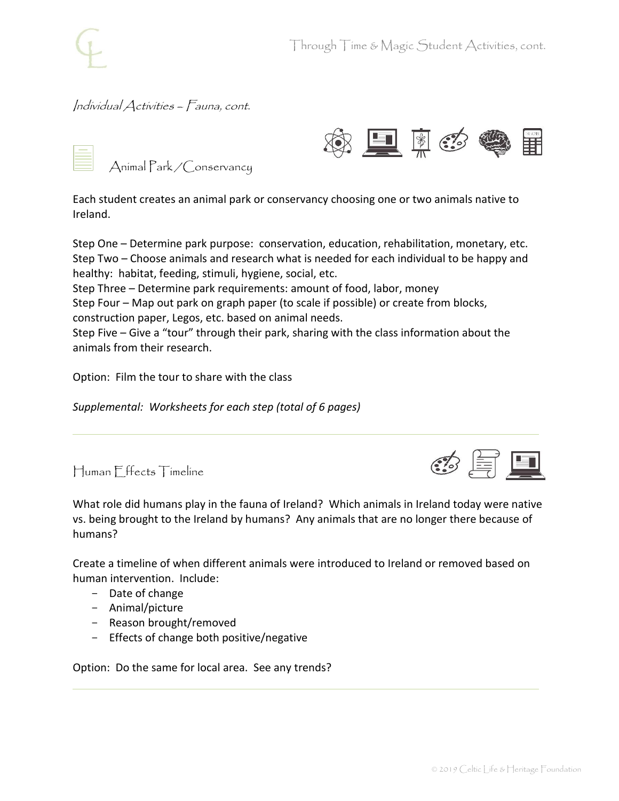#### Individual Activities – Fauna, cont.





Each student creates an animal park or conservancy choosing one or two animals native to Ireland.

Step One – Determine park purpose: conservation, education, rehabilitation, monetary, etc. Step Two – Choose animals and research what is needed for each individual to be happy and healthy: habitat, feeding, stimuli, hygiene, social, etc.

Step Three – Determine park requirements: amount of food, labor, money

Step Four – Map out park on graph paper (to scale if possible) or create from blocks, construction paper, Legos, etc. based on animal needs.

Step Five – Give a "tour" through their park, sharing with the class information about the animals from their research.

Option: Film the tour to share with the class

*Supplemental: Worksheets for each step (total of 6 pages)*





What role did humans play in the fauna of Ireland? Which animals in Ireland today were native vs. being brought to the Ireland by humans? Any animals that are no longer there because of humans?

Create a timeline of when different animals were introduced to Ireland or removed based on human intervention. Include:

- Date of change
- Animal/picture
- Reason brought/removed
- Effects of change both positive/negative

Option: Do the same for local area. See any trends?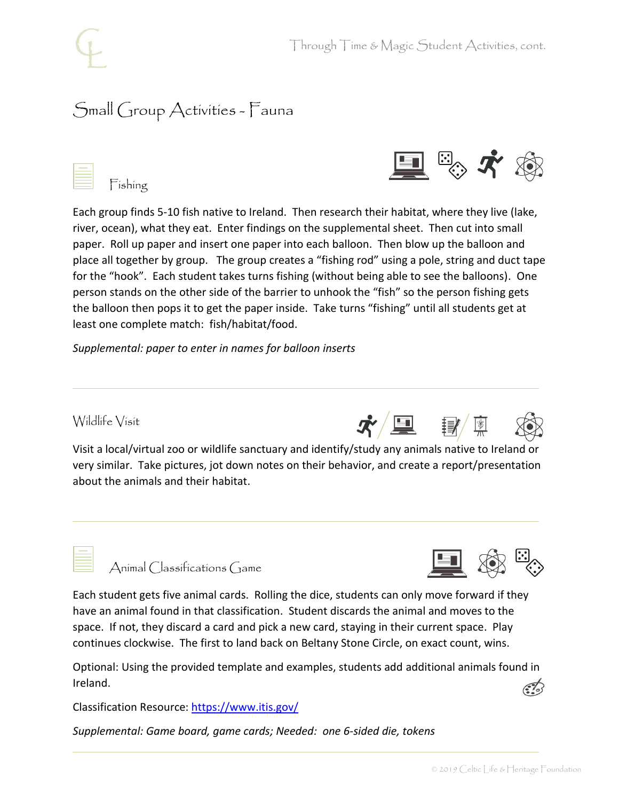# Small Group Activities - Fauna





Fishing

Each group finds 5-10 fish native to Ireland. Then research their habitat, where they live (lake, river, ocean), what they eat. Enter findings on the supplemental sheet. Then cut into small paper. Roll up paper and insert one paper into each balloon. Then blow up the balloon and place all together by group. The group creates a "fishing rod" using a pole, string and duct tape for the "hook". Each student takes turns fishing (without being able to see the balloons). One person stands on the other side of the barrier to unhook the "fish" so the person fishing gets the balloon then pops it to get the paper inside. Take turns "fishing" until all students get at least one complete match: fish/habitat/food.

*Supplemental: paper to enter in names for balloon inserts*

### Wildlife Visit

Visit a local/virtual zoo or wildlife sanctuary and identify/study any animals native to Ireland or very similar. Take pictures, jot down notes on their behavior, and create a report/presentation about the animals and their habitat.

 $\dot{\mathbf{x}}/\blacksquare$ 



Animal Classifications Game



Each student gets five animal cards. Rolling the dice, students can only move forward if they have an animal found in that classification. Student discards the animal and moves to the space. If not, they discard a card and pick a new card, staying in their current space. Play continues clockwise. The first to land back on Beltany Stone Circle, on exact count, wins.

Optional: Using the provided template and examples, students add additional animals found in Ireland.

Classification Resource:<https://www.itis.gov/>

*Supplemental: Game board, game cards; Needed: one 6-sided die, tokens*



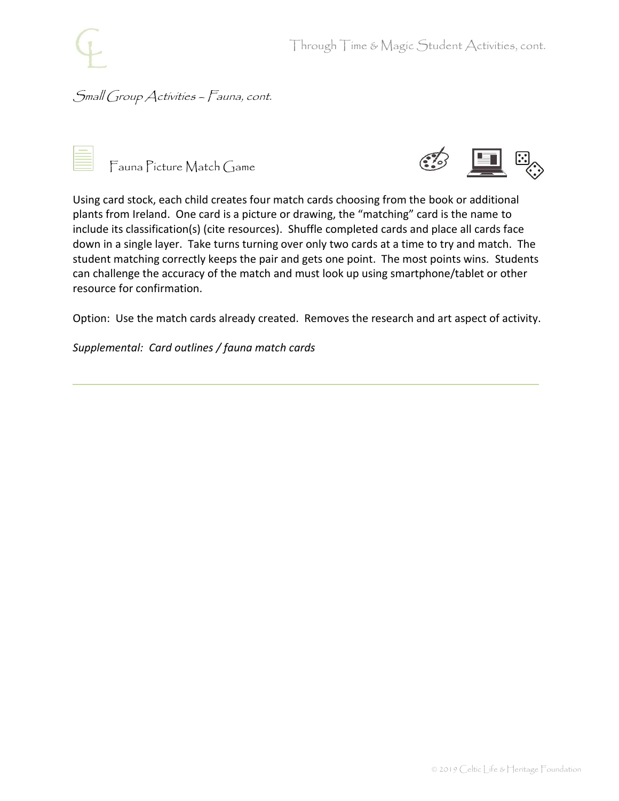## Small Group Activities – Fauna, cont.



Fauna Picture Match Game



Using card stock, each child creates four match cards choosing from the book or additional plants from Ireland. One card is a picture or drawing, the "matching" card is the name to include its classification(s) (cite resources). Shuffle completed cards and place all cards face down in a single layer. Take turns turning over only two cards at a time to try and match. The student matching correctly keeps the pair and gets one point. The most points wins. Students can challenge the accuracy of the match and must look up using smartphone/tablet or other resource for confirmation.

Option: Use the match cards already created. Removes the research and art aspect of activity.

*Supplemental: Card outlines / fauna match cards*